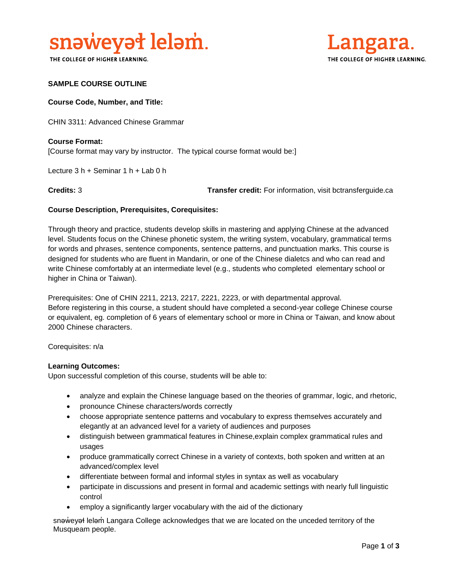

THE COLLEGE OF HIGHER LEARNING.



## **SAMPLE COURSE OUTLINE**

### **Course Code, Number, and Title:**

CHIN 3311: Advanced Chinese Grammar

**Course Format:** [Course format may vary by instructor. The typical course format would be:]

Lecture 3 h + Seminar 1 h + Lab 0 h

**Credits:** 3 **Transfer credit:** For information, visit bctransferguide.ca

## **Course Description, Prerequisites, Corequisites:**

Through theory and practice, students develop skills in mastering and applying Chinese at the advanced level. Students focus on the Chinese phonetic system, the writing system, vocabulary, grammatical terms for words and phrases, sentence components, sentence patterns, and punctuation marks. This course is designed for students who are fluent in Mandarin, or one of the Chinese dialetcs and who can read and write Chinese comfortably at an intermediate level (e.g., students who completed elementary school or higher in China or Taiwan).

Prerequisites: One of CHIN 2211, 2213, 2217, 2221, 2223, or with departmental approval. Before registering in this course, a student should have completed a second-year college Chinese course or equivalent, eg. completion of 6 years of elementary school or more in China or Taiwan, and know about 2000 Chinese characters.

Corequisites: n/a

#### **Learning Outcomes:**

Upon successful completion of this course, students will be able to:

- analyze and explain the Chinese language based on the theories of grammar, logic, and rhetoric,
- pronounce Chinese characters/words correctly
- choose appropriate sentence patterns and vocabulary to express themselves accurately and elegantly at an advanced level for a variety of audiences and purposes
- distinguish between grammatical features in Chinese,explain complex grammatical rules and usages
- produce grammatically correct Chinese in a variety of contexts, both spoken and written at an advanced/complex level
- differentiate between formal and informal styles in syntax as well as vocabulary
- participate in discussions and present in formal and academic settings with nearly full linguistic control
- employ a significantly larger vocabulary with the aid of the dictionary

snəweyał leləm Langara College acknowledges that we are located on the unceded territory of the Musqueam people.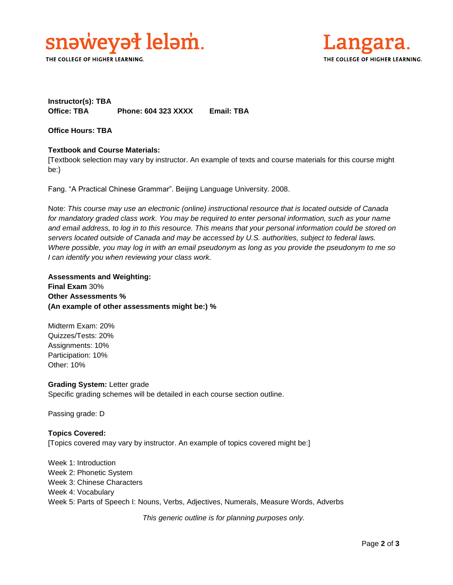

THE COLLEGE OF HIGHER LEARNING.



## **Instructor(s): TBA Office: TBA Phone: 604 323 XXXX Email: TBA**

**Office Hours: TBA** 

## **Textbook and Course Materials:**

[Textbook selection may vary by instructor. An example of texts and course materials for this course might be:}

Fang. "A Practical Chinese Grammar". Beijing Language University. 2008.

Note: *This course may use an electronic (online) instructional resource that is located outside of Canada*  for mandatory graded class work. You may be required to enter personal information, such as your name *and email address, to log in to this resource. This means that your personal information could be stored on servers located outside of Canada and may be accessed by U.S. authorities, subject to federal laws. Where possible, you may log in with an email pseudonym as long as you provide the pseudonym to me so I can identify you when reviewing your class work.* 

**Assessments and Weighting: Final Exam** 30% **Other Assessments % (An example of other assessments might be:) %**

Midterm Exam: 20% Quizzes/Tests: 20% Assignments: 10% Participation: 10% Other: 10%

**Grading System:** Letter grade Specific grading schemes will be detailed in each course section outline.

Passing grade: D

## **Topics Covered:** [Topics covered may vary by instructor. An example of topics covered might be:]

Week 1: Introduction Week 2: Phonetic System Week 3: Chinese Characters Week 4: Vocabulary Week 5: Parts of Speech I: Nouns, Verbs, Adjectives, Numerals, Measure Words, Adverbs

*This generic outline is for planning purposes only.*